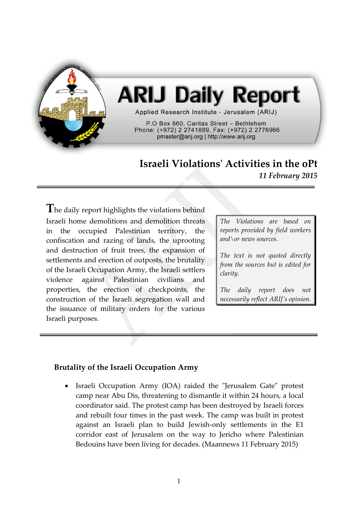

# **ARIJ Daily Report**

Applied Research Institute - Jerusalem (ARIJ)

P.O Box 860. Caritas Street - Bethlehem Phone: (+972) 2 2741889, Fax: (+972) 2 2776966 pmaster@arij.org | http://www.arij.org

# **Israeli Violations' Activities in the oPt** *11 February 2015*

The daily report highlights the violations behind Israeli home demolitions and demolition threats in the occupied Palestinian territory, the confiscation and razing of lands, the uprooting and destruction of fruit trees, the expansion of settlements and erection of outposts, the brutality of the Israeli Occupation Army, the Israeli settlers violence against Palestinian civilians and properties, the erection of checkpoints, the construction of the Israeli segregation wall and the issuance of military orders for the various Israeli purposes.

*The Violations are based on reports provided by field workers and\or news sources.*

*The text is not quoted directly from the sources but is edited for clarity.*

*The daily report does not necessarily reflect ARIJ's opinion.*

## **Brutality of the Israeli Occupation Army**

 Israeli Occupation Army (IOA) raided the "Jerusalem Gate" protest camp near Abu Dis, threatening to dismantle it within 24 hours, a local coordinator said. The protest camp has been destroyed by Israeli forces and rebuilt four times in the past week. The camp was built in protest against an Israeli plan to build Jewish-only settlements in the E1 corridor east of Jerusalem on the way to Jericho where Palestinian Bedouins have been living for decades. (Maannews 11 February 2015)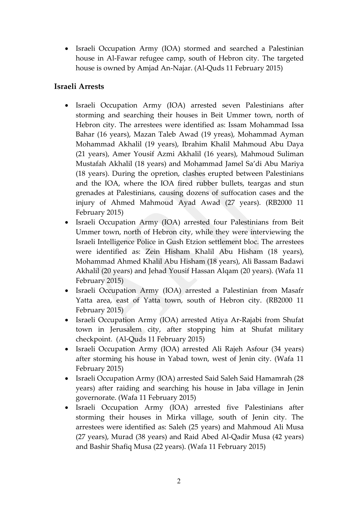Israeli Occupation Army (IOA) stormed and searched a Palestinian house in Al-Fawar refugee camp, south of Hebron city. The targeted house is owned by Amjad An-Najar. (Al-Quds 11 February 2015)

#### **Israeli Arrests**

- Israeli Occupation Army (IOA) arrested seven Palestinians after storming and searching their houses in Beit Ummer town, north of Hebron city. The arrestees were identified as: Issam Mohammad Issa Bahar (16 years), Mazan Taleb Awad (19 yreas), Mohammad Ayman Mohammad Akhalil (19 years), Ibrahim Khalil Mahmoud Abu Daya (21 years), Amer Yousif Azmi Akhalil (16 years), Mahmoud Suliman Mustafah Akhalil (18 years) and Mohammad Jamel Sa'di Abu Mariya (18 years). During the opretion, clashes erupted between Palestinians and the IOA, where the IOA fired rubber bullets, teargas and stun grenades at Palestinians, causing dozens of suffocation cases and the injury of Ahmed Mahmoud Ayad Awad (27 years). (RB2000 11 February 2015)
- Israeli Occupation Army (IOA) arrested four Palestinians from Beit Ummer town, north of Hebron city, while they were interviewing the Israeli Intelligence Police in Gush Etzion settlement bloc. The arrestees were identified as: Zein Hisham Khalil Abu Hisham (18 years), Mohammad Ahmed Khalil Abu Hisham (18 years), Ali Bassam Badawi Akhalil (20 years) and Jehad Yousif Hassan Alqam (20 years). (Wafa 11 February 2015)
- Israeli Occupation Army (IOA) arrested a Palestinian from Masafr Yatta area, east of Yatta town, south of Hebron city. (RB2000 11 February 2015)
- Israeli Occupation Army (IOA) arrested Atiya Ar-Rajabi from Shufat town in Jerusalem city, after stopping him at Shufat military checkpoint. (Al-Quds 11 February 2015)
- Israeli Occupation Army (IOA) arrested Ali Rajeh Asfour (34 years) after storming his house in Yabad town, west of Jenin city. (Wafa 11 February 2015)
- Israeli Occupation Army (IOA) arrested Said Saleh Said Hamamrah (28 years) after raiding and searching his house in Jaba village in Jenin governorate. (Wafa 11 February 2015)
- Israeli Occupation Army (IOA) arrested five Palestinians after storming their houses in Mirka village, south of Jenin city. The arrestees were identified as: Saleh (25 years) and Mahmoud Ali Musa (27 years), Murad (38 years) and Raid Abed Al-Qadir Musa (42 years) and Bashir Shafiq Musa (22 years). (Wafa 11 February 2015)